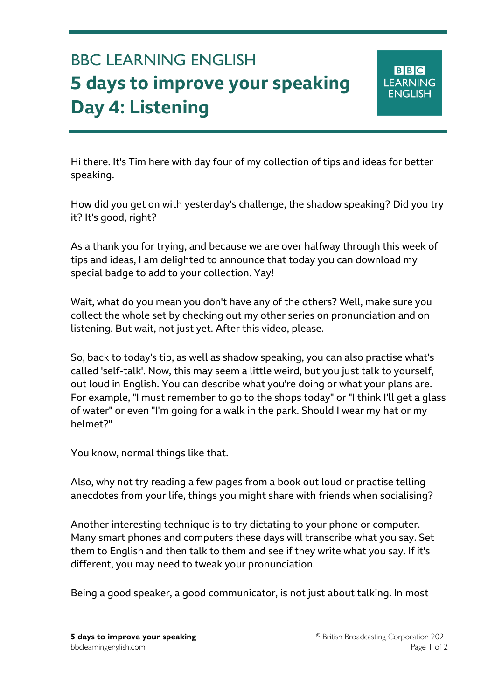## BBC LEARNING ENGLISH **5 days to improve your speaking Day 4: Listening**

Ξ

Hi there. It's Tim here with day four of my collection of tips and ideas for better speaking.

How did you get on with yesterday's challenge, the shadow speaking? Did you try it? It's good, right?

As a thank you for trying, and because we are over halfway through this week of tips and ideas, I am delighted to announce that today you can download my special badge to add to your collection. Yay!

Wait, what do you mean you don't have any of the others? Well, make sure you collect the whole set by checking out my other series on pronunciation and on listening. But wait, not just yet. After this video, please.

So, back to today's tip, as well as shadow speaking, you can also practise what's called 'self-talk'. Now, this may seem a little weird, but you just talk to yourself, out loud in English. You can describe what you're doing or what your plans are. For example, "I must remember to go to the shops today" or "I think I'll get a glass of water" or even "I'm going for a walk in the park. Should I wear my hat or my helmet?"

You know, normal things like that.

Also, why not try reading a few pages from a book out loud or practise telling anecdotes from your life, things you might share with friends when socialising?

Another interesting technique is to try dictating to your phone or computer. Many smart phones and computers these days will transcribe what you say. Set them to English and then talk to them and see if they write what you say. If it's different, you may need to tweak your pronunciation.

Being a good speaker, a good communicator, is not just about talking. In most